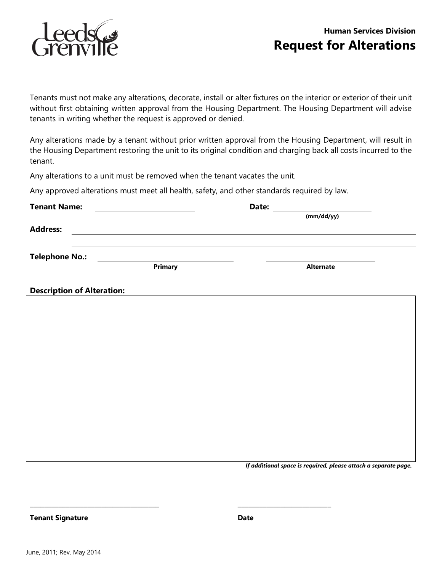



tenants in writing whether the request is approved or denied. Tenants must not make any alterations, decorate, install or alter fixtures on the interior or exterior of their unit without first obtaining written approval from the Housing Department. The Housing Department will advise

 the Housing Department restoring the unit to its original condition and charging back all costs incurred to the Any alterations made by a tenant without prior written approval from the Housing Department, will result in tenant.

Any alterations to a unit must be removed when the tenant vacates the unit.

Any approved alterations must meet all health, safety, and other standards required by law.

| <b>Tenant Name:</b>               | <u> 1980 - Jan Barbara Barbara, prima popular popular popular popular popular popular popular popular popular po</u> | Date: | (mm/dd/yy)       |  |
|-----------------------------------|----------------------------------------------------------------------------------------------------------------------|-------|------------------|--|
|                                   |                                                                                                                      |       |                  |  |
| <b>Address:</b>                   | <u> 1989 - Johann John Stein, markin fan it ferstjer fan de ferstjer fan it ferstjer fan it ferstjer fan it fers</u> |       |                  |  |
|                                   |                                                                                                                      |       |                  |  |
| <b>Telephone No.:</b>             | Primary                                                                                                              |       | <b>Alternate</b> |  |
| <b>Description of Alteration:</b> |                                                                                                                      |       |                  |  |
|                                   |                                                                                                                      |       |                  |  |
|                                   |                                                                                                                      |       |                  |  |
|                                   |                                                                                                                      |       |                  |  |
|                                   |                                                                                                                      |       |                  |  |
|                                   |                                                                                                                      |       |                  |  |
|                                   |                                                                                                                      |       |                  |  |
|                                   |                                                                                                                      |       |                  |  |
|                                   |                                                                                                                      |       |                  |  |
|                                   |                                                                                                                      |       |                  |  |
|                                   |                                                                                                                      |       |                  |  |
|                                   |                                                                                                                      |       |                  |  |

*If additional space is required, please attach a separate page.* 

\_\_\_\_\_\_\_\_\_\_\_\_\_\_\_\_\_\_\_\_\_\_\_\_\_\_\_\_\_\_\_\_\_\_\_\_ \_\_\_\_\_\_\_\_\_\_\_\_\_\_\_\_\_\_\_\_\_\_\_\_\_\_